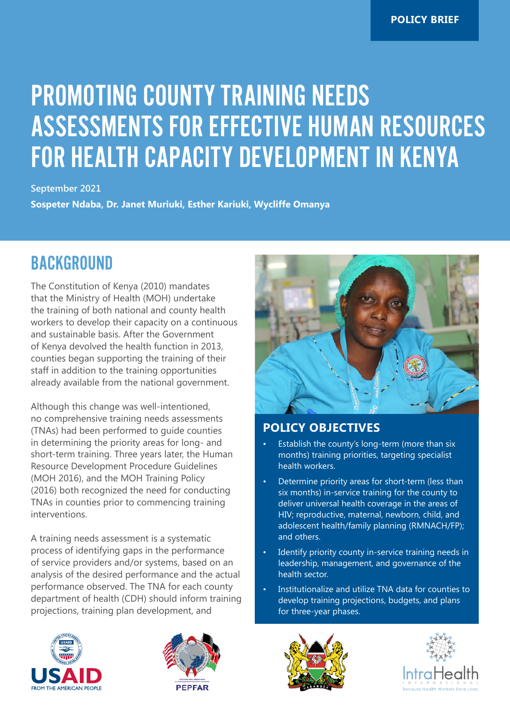# PROMOTING COUNTY TRAINING NEEDS ASSESSMENTS FOR EFFECTIVE HUMAN RESOURCES FOR HEALTH CAPACITY DEVELOPMENT IN KENYA

**September 2021**

**Sospeter Ndaba, Dr. Janet Muriuki, Esther Kariuki, Wycliffe Omanya**

#### BACKGROUND

The Constitution of Kenya (2010) mandates that the Ministry of Health (MOH) undertake the training of both national and county health workers to develop their capacity on a continuous and sustainable basis. After the Government of Kenya devolved the health function in 2013, counties began supporting the training of their staff in addition to the training opportunities already available from the national government.

Although this change was well-intentioned, no comprehensive training needs assessments (TNAs) had been performed to guide counties in determining the priority areas for long- and short-term training. Three years later, the Human Resource Development Procedure Guidelines (MOH 2016), and the MOH Training Policy (2016) both recognized the need for conducting TNAs in counties prior to commencing training interventions.

A training needs assessment is a systematic process of identifying gaps in the performance of service providers and/or systems, based on an analysis of the desired performance and the actual performance observed. The TNA for each county department of health (CDH) should inform training projections, training plan development, and



#### **POLICY OBJECTIVES**

- Establish the county's long-term (more than six months) training priorities, targeting specialist health workers.
- Determine priority areas for short-term (less than six months) in-service training for the county to deliver universal health coverage in the areas of HIV; reproductive, maternal, newborn, child, and adolescent health/family planning (RMNACH/FP); and others.
- Identify priority county in-service training needs in leadership, management, and governance of the health sector.
- Institutionalize and utilize TNA data for counties to develop training projections, budgets, and plans for three-year phases.







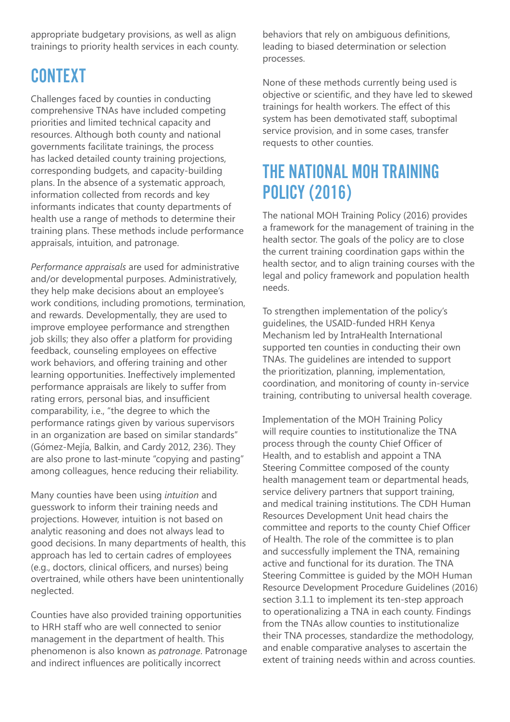appropriate budgetary provisions, as well as align trainings to priority health services in each county.

### **CONTEXT**

Challenges faced by counties in conducting comprehensive TNAs have included competing priorities and limited technical capacity and resources. Although both county and national governments facilitate trainings, the process has lacked detailed county training projections, corresponding budgets, and capacity-building plans. In the absence of a systematic approach, information collected from records and key informants indicates that county departments of health use a range of methods to determine their training plans. These methods include performance appraisals, intuition, and patronage.

*Performance appraisals* are used for administrative and/or developmental purposes. Administratively, they help make decisions about an employee's work conditions, including promotions, termination, and rewards. Developmentally, they are used to improve employee performance and strengthen job skills; they also offer a platform for providing feedback, counseling employees on effective work behaviors, and offering training and other learning opportunities. Ineffectively implemented performance appraisals are likely to suffer from rating errors, personal bias, and insufficient comparability, i.e., "the degree to which the performance ratings given by various supervisors in an organization are based on similar standards" (Gómez-Mejía, Balkin, and Cardy 2012, 236). They are also prone to last-minute "copying and pasting" among colleagues, hence reducing their reliability.

Many counties have been using *intuition* and guesswork to inform their training needs and projections. However, intuition is not based on analytic reasoning and does not always lead to good decisions. In many departments of health, this approach has led to certain cadres of employees (e.g., doctors, clinical officers, and nurses) being overtrained, while others have been unintentionally neglected.

Counties have also provided training opportunities to HRH staff who are well connected to senior management in the department of health. This phenomenon is also known as *patronage*. Patronage and indirect influences are politically incorrect

behaviors that rely on ambiguous definitions, leading to biased determination or selection processes.

None of these methods currently being used is objective or scientific, and they have led to skewed trainings for health workers. The effect of this system has been demotivated staff, suboptimal service provision, and in some cases, transfer requests to other counties.

#### THE NATIONAL MOH TRAINING POLICY (2016)

The national MOH Training Policy (2016) provides a framework for the management of training in the health sector. The goals of the policy are to close the current training coordination gaps within the health sector, and to align training courses with the legal and policy framework and population health needs.

To strengthen implementation of the policy's guidelines, the USAID-funded HRH Kenya Mechanism led by IntraHealth International supported ten counties in conducting their own TNAs. The guidelines are intended to support the prioritization, planning, implementation, coordination, and monitoring of county in-service training, contributing to universal health coverage.

Implementation of the MOH Training Policy will require counties to institutionalize the TNA process through the county Chief Officer of Health, and to establish and appoint a TNA Steering Committee composed of the county health management team or departmental heads, service delivery partners that support training, and medical training institutions. The CDH Human Resources Development Unit head chairs the committee and reports to the county Chief Officer of Health. The role of the committee is to plan and successfully implement the TNA, remaining active and functional for its duration. The TNA Steering Committee is guided by the MOH Human Resource Development Procedure Guidelines (2016) section 3.1.1 to implement its ten-step approach to operationalizing a TNA in each county. Findings from the TNAs allow counties to institutionalize their TNA processes, standardize the methodology, and enable comparative analyses to ascertain the extent of training needs within and across counties.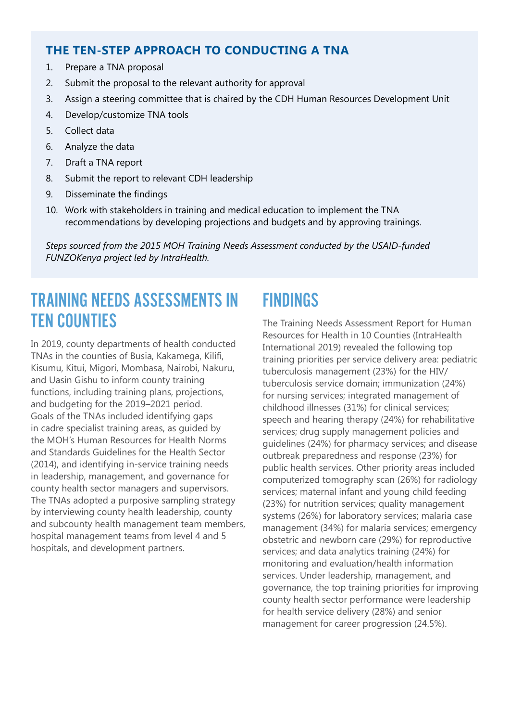#### **THE TEN-STEP APPROACH TO CONDUCTING A TNA**

- 1. Prepare a TNA proposal
- 2. Submit the proposal to the relevant authority for approval
- 3. Assign a steering committee that is chaired by the CDH Human Resources Development Unit
- 4. Develop/customize TNA tools
- 5. Collect data
- 6. Analyze the data
- 7. Draft a TNA report
- 8. Submit the report to relevant CDH leadership
- 9. Disseminate the findings
- 10. Work with stakeholders in training and medical education to implement the TNA recommendations by developing projections and budgets and by approving trainings.

*Steps sourced from the 2015 MOH Training Needs Assessment conducted by the USAID-funded FUNZOKenya project led by IntraHealth.*

#### TRAINING NEEDS ASSESSMENTS IN TEN COUNTIES

In 2019, county departments of health conducted TNAs in the counties of Busia, Kakamega, Kilifi, Kisumu, Kitui, Migori, Mombasa, Nairobi, Nakuru, and Uasin Gishu to inform county training functions, including training plans, projections, and budgeting for the 2019–2021 period. Goals of the TNAs included identifying gaps in cadre specialist training areas, as guided by the MOH's Human Resources for Health Norms and Standards Guidelines for the Health Sector (2014), and identifying in-service training needs in leadership, management, and governance for county health sector managers and supervisors. The TNAs adopted a purposive sampling strategy by interviewing county health leadership, county and subcounty health management team members, hospital management teams from level 4 and 5 hospitals, and development partners.

#### FINDINGS

The Training Needs Assessment Report for Human Resources for Health in 10 Counties (IntraHealth International 2019) revealed the following top training priorities per service delivery area: pediatric tuberculosis management (23%) for the HIV/ tuberculosis service domain; immunization (24%) for nursing services; integrated management of childhood illnesses (31%) for clinical services; speech and hearing therapy (24%) for rehabilitative services; drug supply management policies and guidelines (24%) for pharmacy services; and disease outbreak preparedness and response (23%) for public health services. Other priority areas included computerized tomography scan (26%) for radiology services; maternal infant and young child feeding (23%) for nutrition services; quality management systems (26%) for laboratory services; malaria case management (34%) for malaria services; emergency obstetric and newborn care (29%) for reproductive services; and data analytics training (24%) for monitoring and evaluation/health information services. Under leadership, management, and governance, the top training priorities for improving county health sector performance were leadership for health service delivery (28%) and senior management for career progression (24.5%).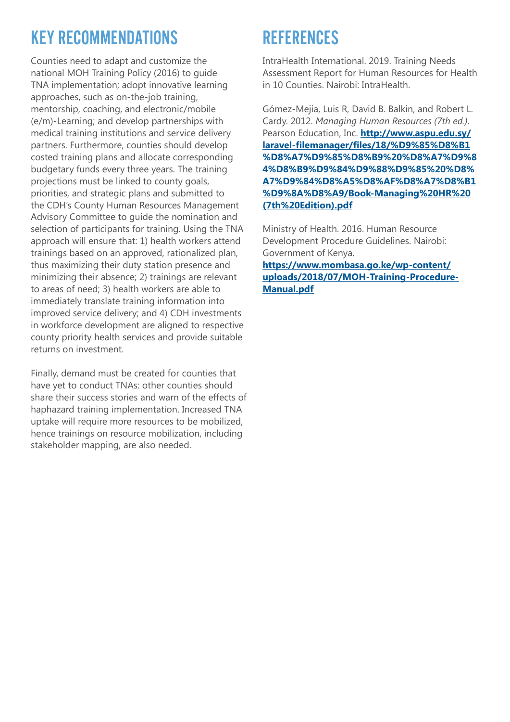## KEY RECOMMENDATIONS

Counties need to adapt and customize the national MOH Training Policy (2016) to guide TNA implementation; adopt innovative learning approaches, such as on-the-job training, mentorship, coaching, and electronic/mobile (e/m)-Learning; and develop partnerships with medical training institutions and service delivery partners. Furthermore, counties should develop costed training plans and allocate corresponding budgetary funds every three years. The training projections must be linked to county goals, priorities, and strategic plans and submitted to the CDH's County Human Resources Management Advisory Committee to guide the nomination and selection of participants for training. Using the TNA approach will ensure that: 1) health workers attend trainings based on an approved, rationalized plan, thus maximizing their duty station presence and minimizing their absence; 2) trainings are relevant to areas of need; 3) health workers are able to immediately translate training information into improved service delivery; and 4) CDH investments in workforce development are aligned to respective county priority health services and provide suitable returns on investment.

Finally, demand must be created for counties that have yet to conduct TNAs: other counties should share their success stories and warn of the effects of haphazard training implementation. Increased TNA uptake will require more resources to be mobilized, hence trainings on resource mobilization, including stakeholder mapping, are also needed.

### **REFERENCES**

IntraHealth International. 2019. Training Needs Assessment Report for Human Resources for Health in 10 Counties. Nairobi: IntraHealth.

Gómez-Mejia, Luis R, David B. Balkin, and Robert L. Cardy. 2012. *Managing Human Resources (7th ed.)*. Pearson Education, Inc. **[http://www.aspu.edu.sy/](http://www.aspu.edu.sy/laravel-filemanager/files/18/%D9%85%D8%B1%D8%A7%D9%85%D8%B9%20%D8%A7%D9%84%D8%B9%D9%84%D9%88%D9%85%20%D8%A7%D9%84%D8%A5%D8%AF%D8%A7%D8%B1%D9%8A%D8%A9/Book-Managing%20HR%20(7th%20Edition).pdf) [laravel-filemanager/files/18/%D9%85%D8%B1](http://www.aspu.edu.sy/laravel-filemanager/files/18/%D9%85%D8%B1%D8%A7%D9%85%D8%B9%20%D8%A7%D9%84%D8%B9%D9%84%D9%88%D9%85%20%D8%A7%D9%84%D8%A5%D8%AF%D8%A7%D8%B1%D9%8A%D8%A9/Book-Managing%20HR%20(7th%20Edition).pdf) [%D8%A7%D9%85%D8%B9%20%D8%A7%D9%8](http://www.aspu.edu.sy/laravel-filemanager/files/18/%D9%85%D8%B1%D8%A7%D9%85%D8%B9%20%D8%A7%D9%84%D8%B9%D9%84%D9%88%D9%85%20%D8%A7%D9%84%D8%A5%D8%AF%D8%A7%D8%B1%D9%8A%D8%A9/Book-Managing%20HR%20(7th%20Edition).pdf) [4%D8%B9%D9%84%D9%88%D9%85%20%D8%](http://www.aspu.edu.sy/laravel-filemanager/files/18/%D9%85%D8%B1%D8%A7%D9%85%D8%B9%20%D8%A7%D9%84%D8%B9%D9%84%D9%88%D9%85%20%D8%A7%D9%84%D8%A5%D8%AF%D8%A7%D8%B1%D9%8A%D8%A9/Book-Managing%20HR%20(7th%20Edition).pdf) [A7%D9%84%D8%A5%D8%AF%D8%A7%D8%B1](http://www.aspu.edu.sy/laravel-filemanager/files/18/%D9%85%D8%B1%D8%A7%D9%85%D8%B9%20%D8%A7%D9%84%D8%B9%D9%84%D9%88%D9%85%20%D8%A7%D9%84%D8%A5%D8%AF%D8%A7%D8%B1%D9%8A%D8%A9/Book-Managing%20HR%20(7th%20Edition).pdf) [%D9%8A%D8%A9/Book-Managing%20HR%20](http://www.aspu.edu.sy/laravel-filemanager/files/18/%D9%85%D8%B1%D8%A7%D9%85%D8%B9%20%D8%A7%D9%84%D8%B9%D9%84%D9%88%D9%85%20%D8%A7%D9%84%D8%A5%D8%AF%D8%A7%D8%B1%D9%8A%D8%A9/Book-Managing%20HR%20(7th%20Edition).pdf) [\(7th%20Edition\).pdf](http://www.aspu.edu.sy/laravel-filemanager/files/18/%D9%85%D8%B1%D8%A7%D9%85%D8%B9%20%D8%A7%D9%84%D8%B9%D9%84%D9%88%D9%85%20%D8%A7%D9%84%D8%A5%D8%AF%D8%A7%D8%B1%D9%8A%D8%A9/Book-Managing%20HR%20(7th%20Edition).pdf)**

Ministry of Health. 2016. Human Resource Development Procedure Guidelines. Nairobi: Government of Kenya.

**[https://www.mombasa.go.ke/wp-content/](https://www.mombasa.go.ke/wp-content/uploads/2018/07/MOH-Training-Procedure-Manual.pdf) [uploads/2018/07/MOH-Training-Procedure-](https://www.mombasa.go.ke/wp-content/uploads/2018/07/MOH-Training-Procedure-Manual.pdf)[Manual.pdf](https://www.mombasa.go.ke/wp-content/uploads/2018/07/MOH-Training-Procedure-Manual.pdf)**